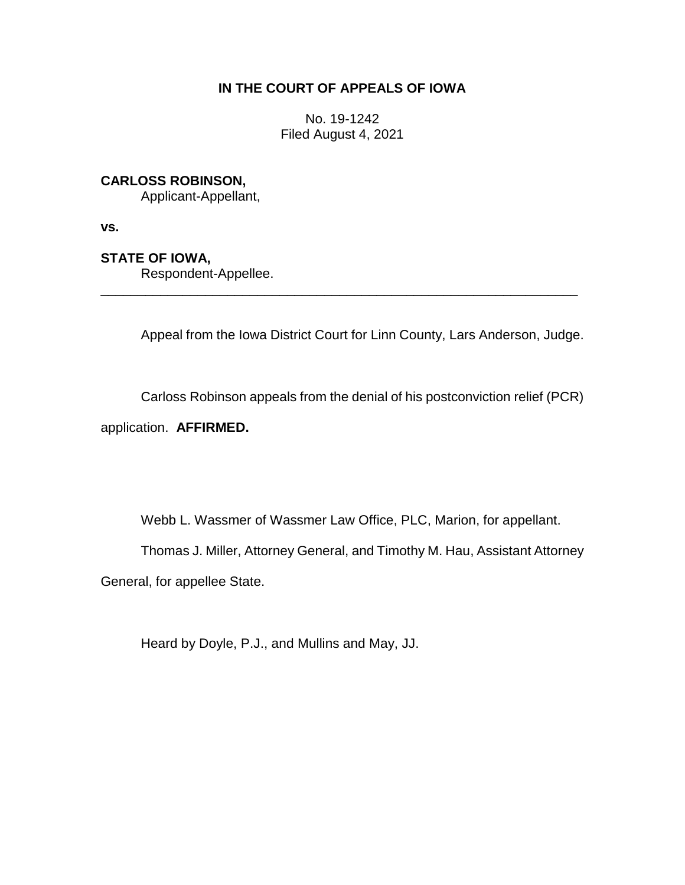# **IN THE COURT OF APPEALS OF IOWA**

No. 19-1242 Filed August 4, 2021

# **CARLOSS ROBINSON,**

Applicant-Appellant,

**vs.**

# **STATE OF IOWA,**

Respondent-Appellee.

Appeal from the Iowa District Court for Linn County, Lars Anderson, Judge.

\_\_\_\_\_\_\_\_\_\_\_\_\_\_\_\_\_\_\_\_\_\_\_\_\_\_\_\_\_\_\_\_\_\_\_\_\_\_\_\_\_\_\_\_\_\_\_\_\_\_\_\_\_\_\_\_\_\_\_\_\_\_\_\_

Carloss Robinson appeals from the denial of his postconviction relief (PCR)

application. **AFFIRMED.**

Webb L. Wassmer of Wassmer Law Office, PLC, Marion, for appellant.

Thomas J. Miller, Attorney General, and Timothy M. Hau, Assistant Attorney

General, for appellee State.

Heard by Doyle, P.J., and Mullins and May, JJ.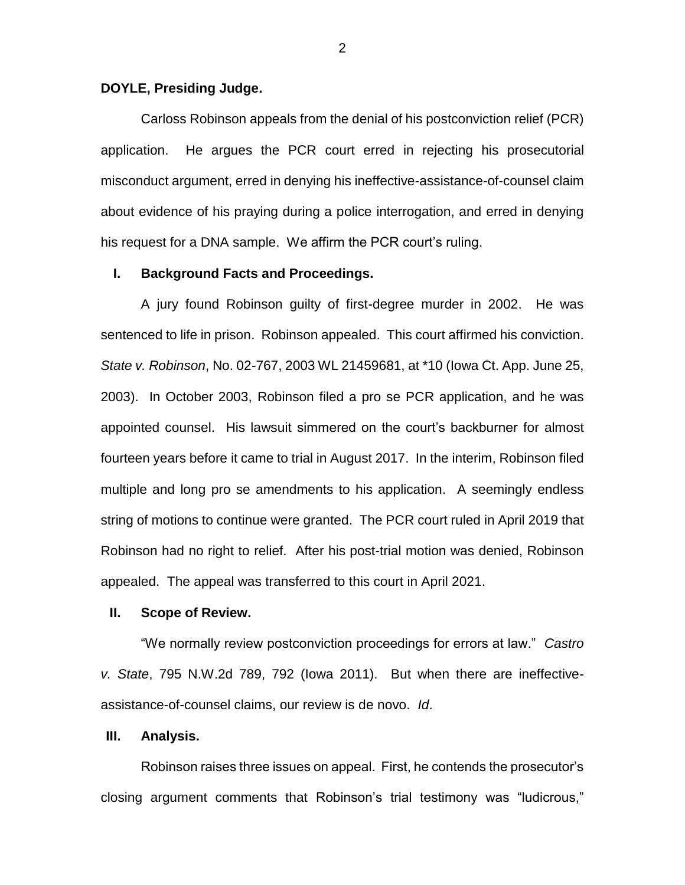#### **DOYLE, Presiding Judge.**

Carloss Robinson appeals from the denial of his postconviction relief (PCR) application. He argues the PCR court erred in rejecting his prosecutorial misconduct argument, erred in denying his ineffective-assistance-of-counsel claim about evidence of his praying during a police interrogation, and erred in denying his request for a DNA sample. We affirm the PCR court's ruling.

### **I. Background Facts and Proceedings.**

A jury found Robinson guilty of first-degree murder in 2002. He was sentenced to life in prison. Robinson appealed. This court affirmed his conviction. *State v. Robinson*, No. 02-767, 2003 WL 21459681, at \*10 (Iowa Ct. App. June 25, 2003). In October 2003, Robinson filed a pro se PCR application, and he was appointed counsel. His lawsuit simmered on the court's backburner for almost fourteen years before it came to trial in August 2017. In the interim, Robinson filed multiple and long pro se amendments to his application. A seemingly endless string of motions to continue were granted. The PCR court ruled in April 2019 that Robinson had no right to relief. After his post-trial motion was denied, Robinson appealed. The appeal was transferred to this court in April 2021.

#### **II. Scope of Review.**

"We normally review postconviction proceedings for errors at law." *Castro v. State*, 795 N.W.2d 789, 792 (Iowa 2011). But when there are ineffectiveassistance-of-counsel claims, our review is de novo. *Id*.

#### **III. Analysis.**

Robinson raises three issues on appeal. First, he contends the prosecutor's closing argument comments that Robinson's trial testimony was "ludicrous,"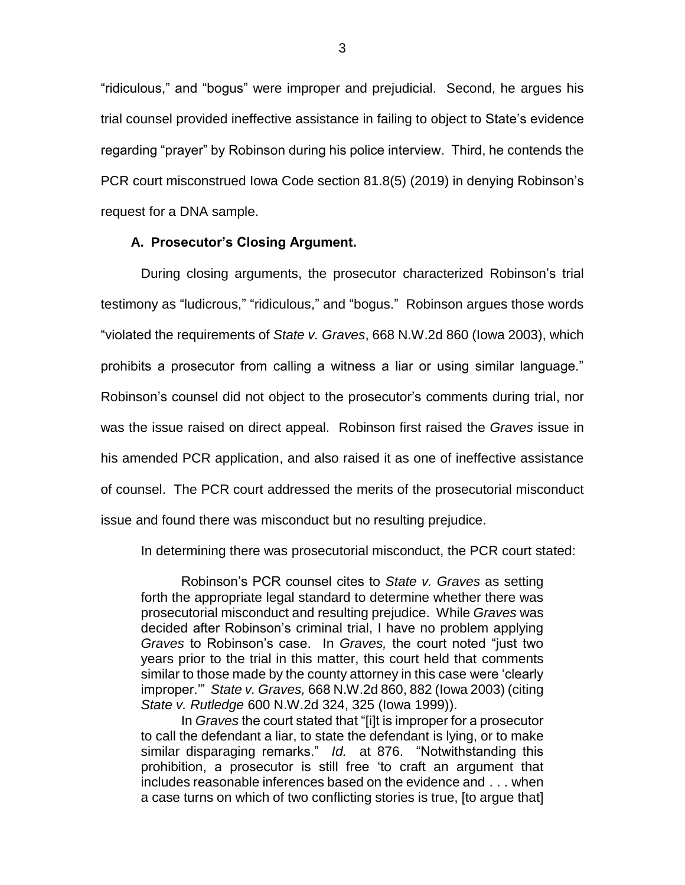"ridiculous," and "bogus" were improper and prejudicial. Second, he argues his trial counsel provided ineffective assistance in failing to object to State's evidence regarding "prayer" by Robinson during his police interview. Third, he contends the PCR court misconstrued Iowa Code section 81.8(5) (2019) in denying Robinson's request for a DNA sample.

#### **A. Prosecutor's Closing Argument.**

During closing arguments, the prosecutor characterized Robinson's trial testimony as "ludicrous," "ridiculous," and "bogus." Robinson argues those words "violated the requirements of *State v. Graves*, 668 N.W.2d 860 (Iowa 2003), which prohibits a prosecutor from calling a witness a liar or using similar language." Robinson's counsel did not object to the prosecutor's comments during trial, nor was the issue raised on direct appeal. Robinson first raised the *Graves* issue in his amended PCR application, and also raised it as one of ineffective assistance of counsel. The PCR court addressed the merits of the prosecutorial misconduct issue and found there was misconduct but no resulting prejudice.

In determining there was prosecutorial misconduct, the PCR court stated:

Robinson's PCR counsel cites to *State v. Graves* as setting forth the appropriate legal standard to determine whether there was prosecutorial misconduct and resulting prejudice. While *Graves* was decided after Robinson's criminal trial, I have no problem applying *Graves* to Robinson's case. In *Graves,* the court noted "just two years prior to the trial in this matter, this court held that comments similar to those made by the county attorney in this case were 'clearly improper.'" *State v. Graves,* 668 N.W.2d 860, 882 (Iowa 2003) (citing *State v. Rutledge* 600 N.W.2d 324, 325 (Iowa 1999)).

In *Graves* the court stated that "[i]t is improper for a prosecutor to call the defendant a liar, to state the defendant is lying, or to make similar disparaging remarks." *Id.* at 876. "Notwithstanding this prohibition, a prosecutor is still free 'to craft an argument that includes reasonable inferences based on the evidence and . . . when a case turns on which of two conflicting stories is true, [to argue that]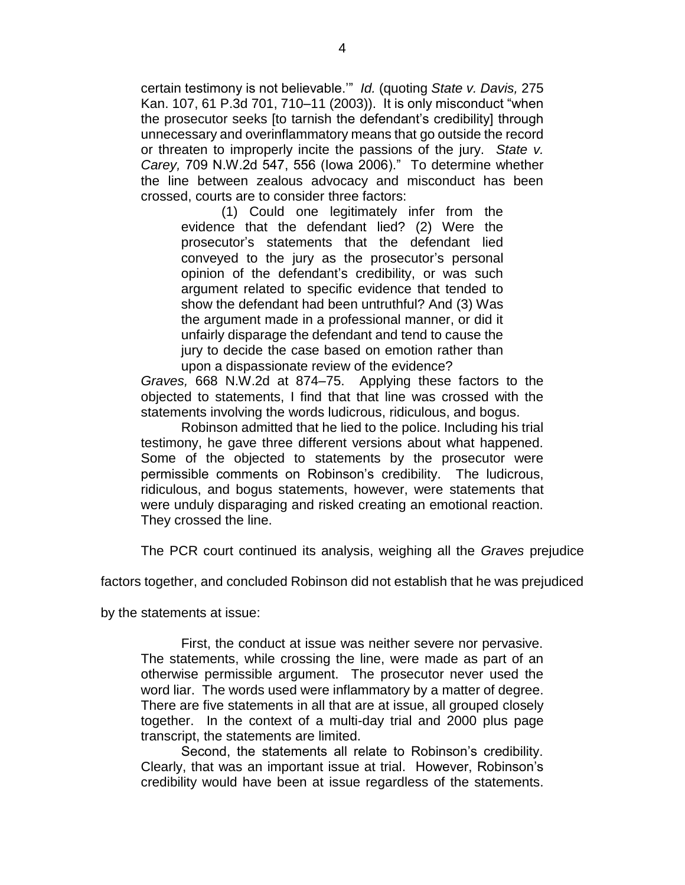certain testimony is not believable.'" *Id.* (quoting *State v. Davis,* 275 Kan. 107, 61 P.3d 701, 710–11 (2003)). It is only misconduct "when the prosecutor seeks [to tarnish the defendant's credibility] through unnecessary and overinflammatory means that go outside the record or threaten to improperly incite the passions of the jury. *State v. Carey,* 709 N.W.2d 547, 556 (Iowa 2006)." To determine whether the line between zealous advocacy and misconduct has been crossed, courts are to consider three factors:

(1) Could one legitimately infer from the evidence that the defendant lied? (2) Were the prosecutor's statements that the defendant lied conveyed to the jury as the prosecutor's personal opinion of the defendant's credibility, or was such argument related to specific evidence that tended to show the defendant had been untruthful? And (3) Was the argument made in a professional manner, or did it unfairly disparage the defendant and tend to cause the jury to decide the case based on emotion rather than upon a dispassionate review of the evidence?

*Graves,* 668 N.W.2d at 874–75. Applying these factors to the objected to statements, I find that that line was crossed with the statements involving the words ludicrous, ridiculous, and bogus.

Robinson admitted that he lied to the police. Including his trial testimony, he gave three different versions about what happened. Some of the objected to statements by the prosecutor were permissible comments on Robinson's credibility. The ludicrous, ridiculous, and bogus statements, however, were statements that were unduly disparaging and risked creating an emotional reaction. They crossed the line.

The PCR court continued its analysis, weighing all the *Graves* prejudice

factors together, and concluded Robinson did not establish that he was prejudiced

by the statements at issue:

First, the conduct at issue was neither severe nor pervasive. The statements, while crossing the line, were made as part of an otherwise permissible argument. The prosecutor never used the word liar. The words used were inflammatory by a matter of degree. There are five statements in all that are at issue, all grouped closely together. In the context of a multi-day trial and 2000 plus page transcript, the statements are limited.

Second, the statements all relate to Robinson's credibility. Clearly, that was an important issue at trial. However, Robinson's credibility would have been at issue regardless of the statements.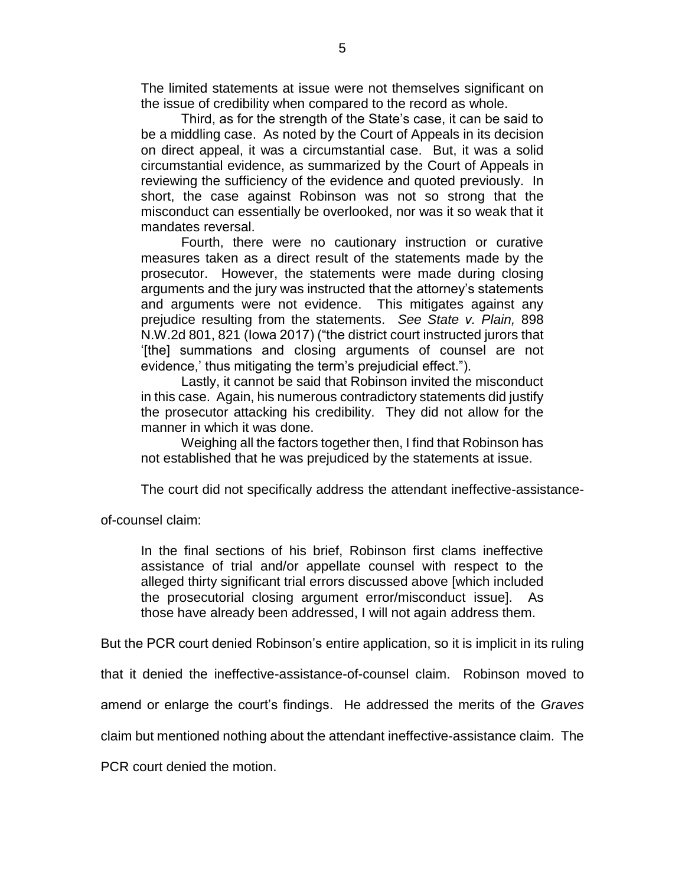The limited statements at issue were not themselves significant on the issue of credibility when compared to the record as whole.

Third, as for the strength of the State's case, it can be said to be a middling case. As noted by the Court of Appeals in its decision on direct appeal, it was a circumstantial case. But, it was a solid circumstantial evidence, as summarized by the Court of Appeals in reviewing the sufficiency of the evidence and quoted previously. In short, the case against Robinson was not so strong that the misconduct can essentially be overlooked, nor was it so weak that it mandates reversal.

Fourth, there were no cautionary instruction or curative measures taken as a direct result of the statements made by the prosecutor. However, the statements were made during closing arguments and the jury was instructed that the attorney's statements and arguments were not evidence. This mitigates against any prejudice resulting from the statements. *See State v. Plain,* 898 N.W.2d 801, 821 (Iowa 2017) ("the district court instructed jurors that '[the] summations and closing arguments of counsel are not evidence,' thus mitigating the term's prejudicial effect.").

Lastly, it cannot be said that Robinson invited the misconduct in this case. Again, his numerous contradictory statements did justify the prosecutor attacking his credibility. They did not allow for the manner in which it was done.

Weighing all the factors together then, I find that Robinson has not established that he was prejudiced by the statements at issue.

The court did not specifically address the attendant ineffective-assistance-

of-counsel claim:

In the final sections of his brief, Robinson first clams ineffective assistance of trial and/or appellate counsel with respect to the alleged thirty significant trial errors discussed above [which included the prosecutorial closing argument error/misconduct issue]. As those have already been addressed, I will not again address them.

But the PCR court denied Robinson's entire application, so it is implicit in its ruling

that it denied the ineffective-assistance-of-counsel claim. Robinson moved to

amend or enlarge the court's findings. He addressed the merits of the *Graves*

claim but mentioned nothing about the attendant ineffective-assistance claim. The

PCR court denied the motion.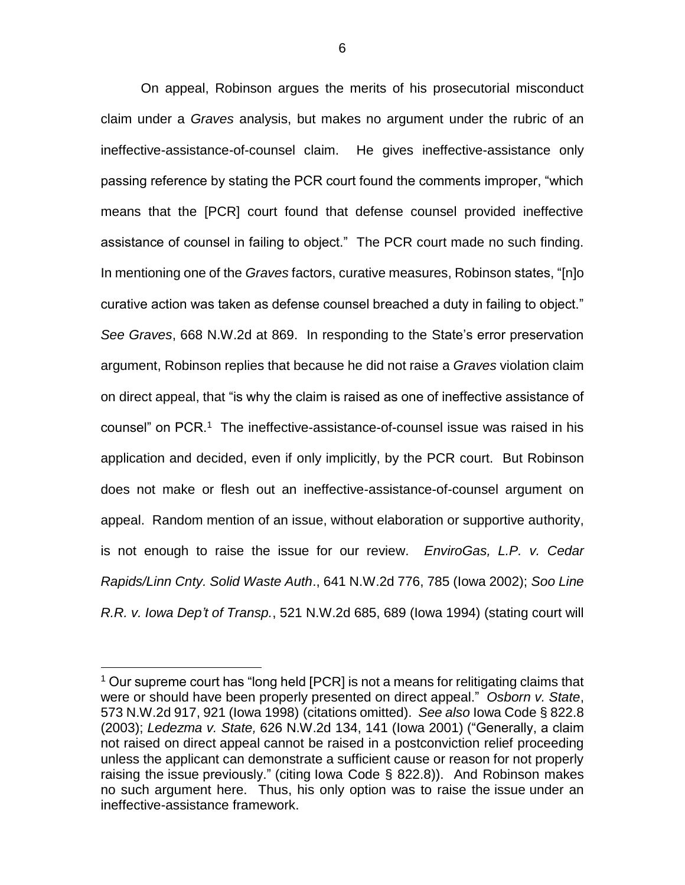On appeal, Robinson argues the merits of his prosecutorial misconduct claim under a *Graves* analysis, but makes no argument under the rubric of an ineffective-assistance-of-counsel claim. He gives ineffective-assistance only passing reference by stating the PCR court found the comments improper, "which means that the [PCR] court found that defense counsel provided ineffective assistance of counsel in failing to object." The PCR court made no such finding. In mentioning one of the *Graves* factors, curative measures, Robinson states, "[n]o curative action was taken as defense counsel breached a duty in failing to object." *See Graves*, 668 N.W.2d at 869. In responding to the State's error preservation argument, Robinson replies that because he did not raise a *Graves* violation claim on direct appeal, that "is why the claim is raised as one of ineffective assistance of counsel" on PCR.<sup>1</sup> The ineffective-assistance-of-counsel issue was raised in his application and decided, even if only implicitly, by the PCR court. But Robinson does not make or flesh out an ineffective-assistance-of-counsel argument on appeal. Random mention of an issue, without elaboration or supportive authority, is not enough to raise the issue for our review. *EnviroGas, L.P. v. Cedar Rapids/Linn Cnty. Solid Waste Auth*., 641 N.W.2d 776, 785 (Iowa 2002); *Soo Line R.R. v. Iowa Dep't of Transp.*, 521 N.W.2d 685, 689 (Iowa 1994) (stating court will

 $\overline{a}$ 

 $1$  Our supreme court has "long held [PCR] is not a means for relitigating claims that were or should have been properly presented on direct appeal." *Osborn v. State*, 573 N.W.2d 917, 921 (Iowa 1998) (citations omitted). *See also* Iowa Code § 822.8 (2003); *Ledezma v. State,* 626 N.W.2d 134, 141 (Iowa 2001) ("Generally, a claim not raised on direct appeal cannot be raised in a postconviction relief proceeding unless the applicant can demonstrate a sufficient cause or reason for not properly raising the issue previously." (citing Iowa Code § 822.8)). And Robinson makes no such argument here. Thus, his only option was to raise the issue under an ineffective-assistance framework.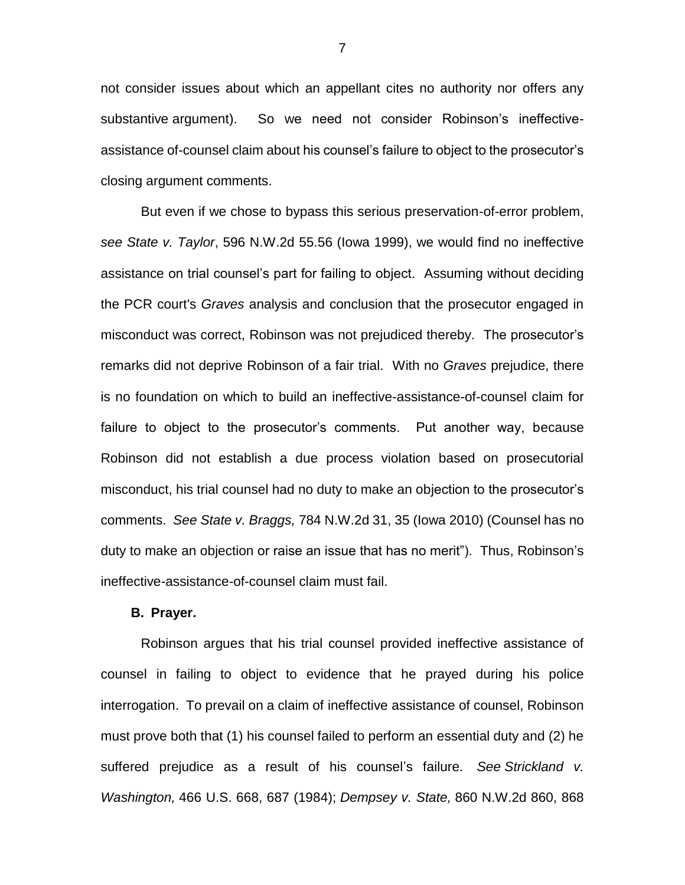not consider issues about which an appellant cites no authority nor offers any substantive argument). So we need not consider Robinson's ineffectiveassistance of-counsel claim about his counsel's failure to object to the prosecutor's closing argument comments.

But even if we chose to bypass this serious preservation-of-error problem, *see State v. Taylor*, 596 N.W.2d 55.56 (Iowa 1999), we would find no ineffective assistance on trial counsel's part for failing to object. Assuming without deciding the PCR court's *Graves* analysis and conclusion that the prosecutor engaged in misconduct was correct, Robinson was not prejudiced thereby. The prosecutor's remarks did not deprive Robinson of a fair trial. With no *Graves* prejudice, there is no foundation on which to build an ineffective-assistance-of-counsel claim for failure to object to the prosecutor's comments. Put another way, because Robinson did not establish a due process violation based on prosecutorial misconduct, his trial counsel had no duty to make an objection to the prosecutor's comments. *See State v. Braggs,* 784 N.W.2d 31, 35 (Iowa 2010) (Counsel has no duty to make an objection or raise an issue that has no merit"). Thus, Robinson's ineffective-assistance-of-counsel claim must fail.

#### **B. Prayer.**

Robinson argues that his trial counsel provided ineffective assistance of counsel in failing to object to evidence that he prayed during his police interrogation. To prevail on a claim of ineffective assistance of counsel, Robinson must prove both that (1) his counsel failed to perform an essential duty and (2) he suffered prejudice as a result of his counsel's failure. *See Strickland v. Washington,* 466 U.S. 668, 687 (1984); *Dempsey v. State,* 860 N.W.2d 860, 868

7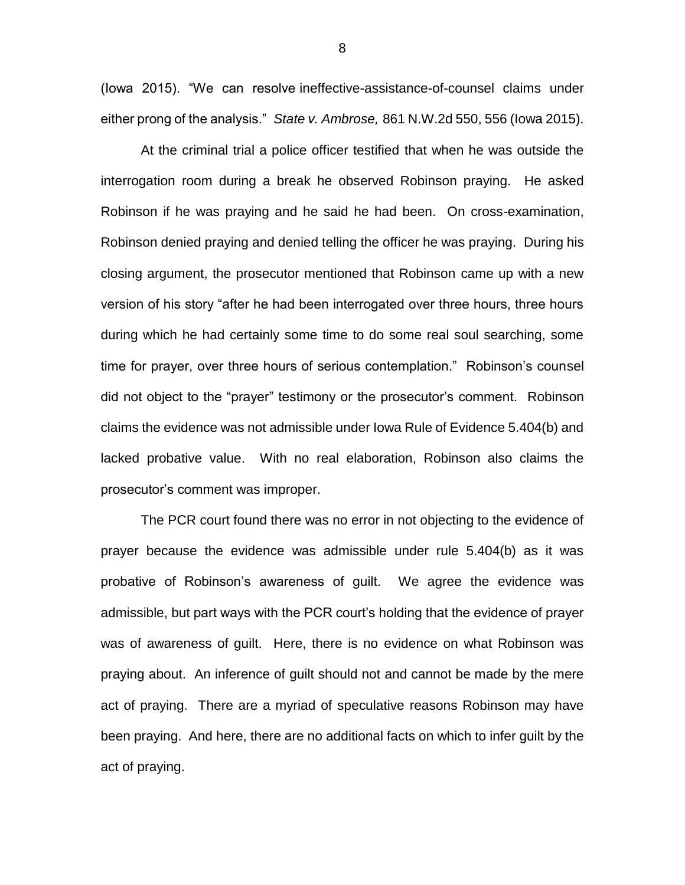(Iowa 2015). "We can resolve ineffective-assistance-of-counsel claims under either prong of the analysis." *State v. Ambrose,* 861 N.W.2d 550, 556 (Iowa 2015).

At the criminal trial a police officer testified that when he was outside the interrogation room during a break he observed Robinson praying. He asked Robinson if he was praying and he said he had been. On cross-examination, Robinson denied praying and denied telling the officer he was praying. During his closing argument, the prosecutor mentioned that Robinson came up with a new version of his story "after he had been interrogated over three hours, three hours during which he had certainly some time to do some real soul searching, some time for prayer, over three hours of serious contemplation." Robinson's counsel did not object to the "prayer" testimony or the prosecutor's comment. Robinson claims the evidence was not admissible under Iowa Rule of Evidence 5.404(b) and lacked probative value. With no real elaboration, Robinson also claims the prosecutor's comment was improper.

The PCR court found there was no error in not objecting to the evidence of prayer because the evidence was admissible under rule 5.404(b) as it was probative of Robinson's awareness of guilt. We agree the evidence was admissible, but part ways with the PCR court's holding that the evidence of prayer was of awareness of guilt. Here, there is no evidence on what Robinson was praying about. An inference of guilt should not and cannot be made by the mere act of praying. There are a myriad of speculative reasons Robinson may have been praying. And here, there are no additional facts on which to infer guilt by the act of praying.

8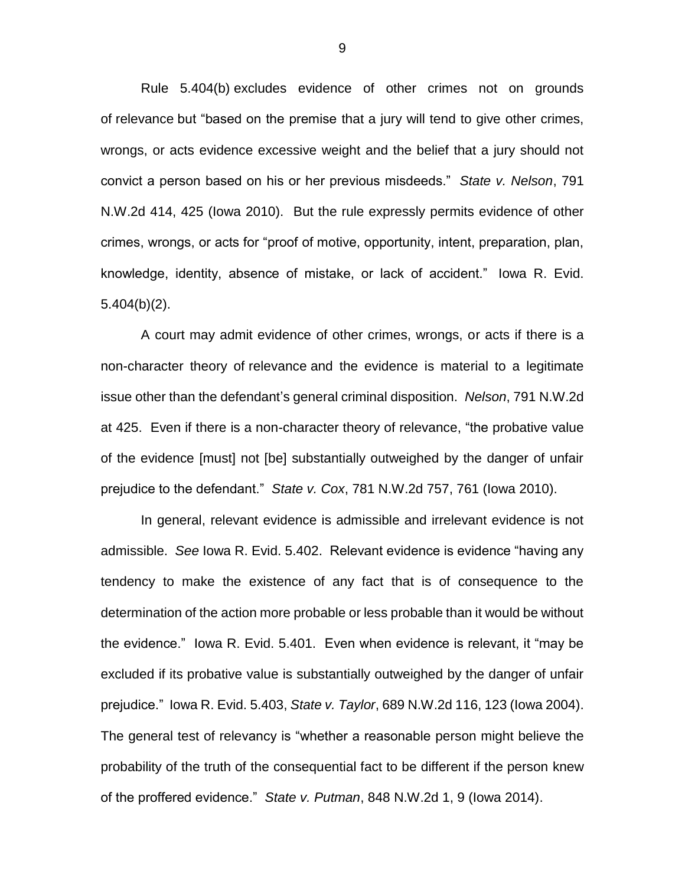Rule 5.404(b) excludes evidence of other crimes not on grounds of relevance but "based on the premise that a jury will tend to give other crimes, wrongs, or acts evidence excessive weight and the belief that a jury should not convict a person based on his or her previous misdeeds." *State v. Nelson*, 791 N.W.2d 414, 425 (Iowa 2010). But the rule expressly permits evidence of other crimes, wrongs, or acts for "proof of motive, opportunity, intent, preparation, plan, knowledge, identity, absence of mistake, or lack of accident." Iowa R. Evid. 5.404(b)(2).

A court may admit evidence of other crimes, wrongs, or acts if there is a non-character theory of relevance and the evidence is material to a legitimate issue other than the defendant's general criminal disposition. *Nelson*, 791 N.W.2d at 425. Even if there is a non-character theory of relevance, "the probative value of the evidence [must] not [be] substantially outweighed by the danger of unfair prejudice to the defendant." *State v. Cox*, 781 N.W.2d 757, 761 (Iowa 2010).

In general, relevant evidence is admissible and irrelevant evidence is not admissible. *See* Iowa R. Evid. 5.402. Relevant evidence is evidence "having any tendency to make the existence of any fact that is of consequence to the determination of the action more probable or less probable than it would be without the evidence." Iowa R. Evid. 5.401. Even when evidence is relevant, it "may be excluded if its probative value is substantially outweighed by the danger of unfair prejudice." Iowa R. Evid. 5.403, *State v. Taylor*, 689 N.W.2d 116, 123 (Iowa 2004). The general test of relevancy is "whether a reasonable person might believe the probability of the truth of the consequential fact to be different if the person knew of the proffered evidence." *State v. Putman*, 848 N.W.2d 1, 9 (Iowa 2014).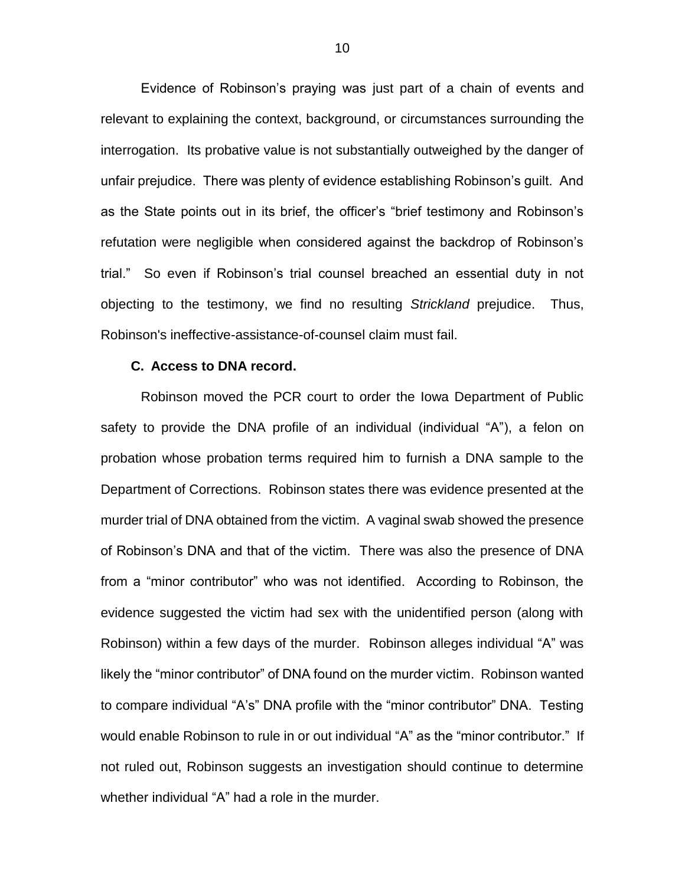Evidence of Robinson's praying was just part of a chain of events and relevant to explaining the context, background, or circumstances surrounding the interrogation. Its probative value is not substantially outweighed by the danger of unfair prejudice. There was plenty of evidence establishing Robinson's guilt. And as the State points out in its brief, the officer's "brief testimony and Robinson's refutation were negligible when considered against the backdrop of Robinson's trial." So even if Robinson's trial counsel breached an essential duty in not objecting to the testimony, we find no resulting *Strickland* prejudice. Thus, Robinson's ineffective-assistance-of-counsel claim must fail.

#### **C. Access to DNA record.**

Robinson moved the PCR court to order the Iowa Department of Public safety to provide the DNA profile of an individual (individual "A"), a felon on probation whose probation terms required him to furnish a DNA sample to the Department of Corrections. Robinson states there was evidence presented at the murder trial of DNA obtained from the victim. A vaginal swab showed the presence of Robinson's DNA and that of the victim. There was also the presence of DNA from a "minor contributor" who was not identified. According to Robinson, the evidence suggested the victim had sex with the unidentified person (along with Robinson) within a few days of the murder. Robinson alleges individual "A" was likely the "minor contributor" of DNA found on the murder victim. Robinson wanted to compare individual "A's" DNA profile with the "minor contributor" DNA. Testing would enable Robinson to rule in or out individual "A" as the "minor contributor." If not ruled out, Robinson suggests an investigation should continue to determine whether individual "A" had a role in the murder.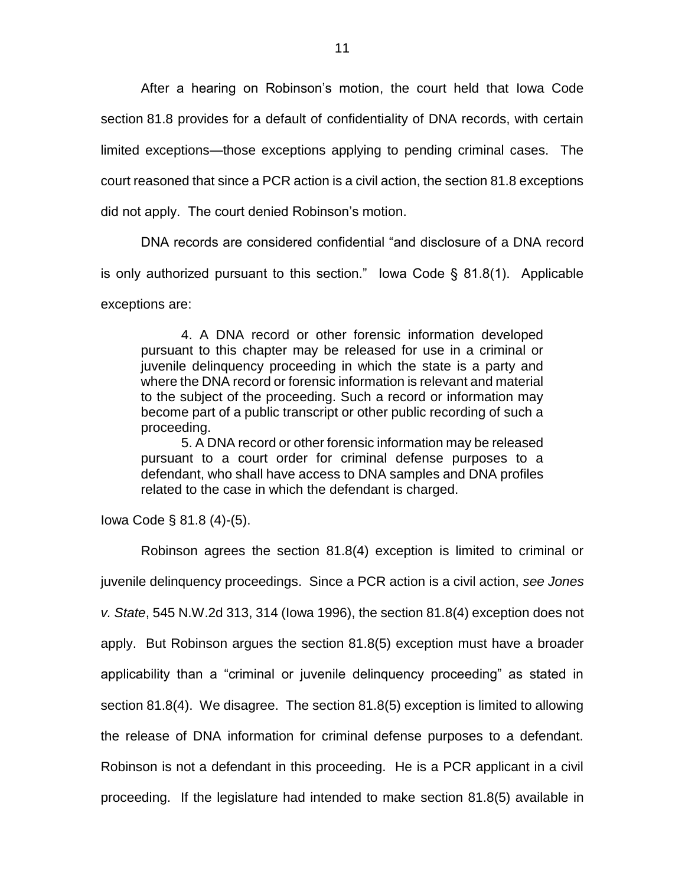After a hearing on Robinson's motion, the court held that Iowa Code section 81.8 provides for a default of confidentiality of DNA records, with certain limited exceptions—those exceptions applying to pending criminal cases. The court reasoned that since a PCR action is a civil action, the section 81.8 exceptions did not apply. The court denied Robinson's motion.

DNA records are considered confidential "and disclosure of a DNA record is only authorized pursuant to this section." Iowa Code § 81.8(1). Applicable exceptions are:

4. A DNA record or other forensic information developed pursuant to this chapter may be released for use in a criminal or juvenile delinquency proceeding in which the state is a party and where the DNA record or forensic information is relevant and material to the subject of the proceeding. Such a record or information may become part of a public transcript or other public recording of such a proceeding.

5. A DNA record or other forensic information may be released pursuant to a court order for criminal defense purposes to a defendant, who shall have access to DNA samples and DNA profiles related to the case in which the defendant is charged.

Iowa Code § 81.8 (4)-(5).

Robinson agrees the section 81.8(4) exception is limited to criminal or juvenile delinquency proceedings. Since a PCR action is a civil action, *see Jones v. State*, 545 N.W.2d 313, 314 (Iowa 1996), the section 81.8(4) exception does not apply. But Robinson argues the section 81.8(5) exception must have a broader applicability than a "criminal or juvenile delinquency proceeding" as stated in section 81.8(4). We disagree. The section 81.8(5) exception is limited to allowing the release of DNA information for criminal defense purposes to a defendant. Robinson is not a defendant in this proceeding. He is a PCR applicant in a civil proceeding. If the legislature had intended to make section 81.8(5) available in